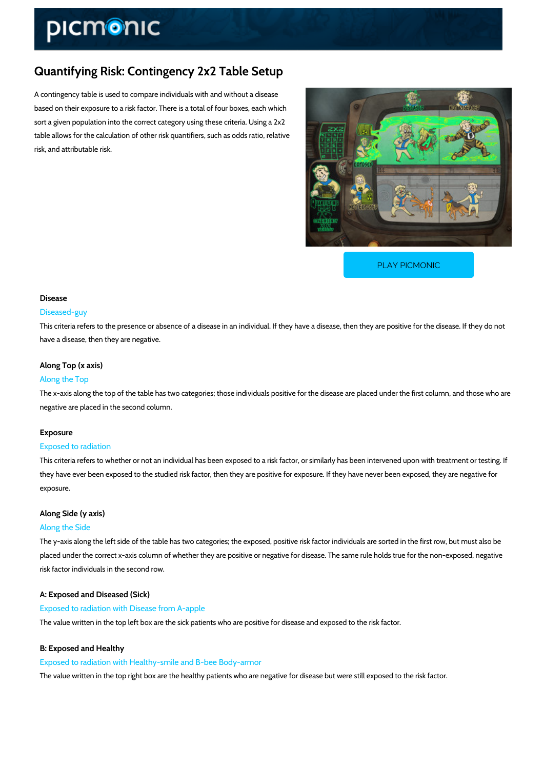# Quantifying Risk: Contingency 2x2 Table Setup

A contingency table is used to compare individuals with and without a disease based on their exposure to a risk factor. There is a total of four boxes, each which sort a given population into the correct category using these criteria. Using a 2x2 table allows for the calculation of other risk quantifiers, such as odds ratio, relative risk, and attributable risk.

[PLAY PICMONIC](https://www.picmonic.com/learn/quantifying-risk-contingency-2x2-table-setup_2499?utm_source=downloadable_content&utm_medium=distributedcontent&utm_campaign=pathways_pdf&utm_content=Quantifying Risk: Contingency 2x2 Table Setup&utm_ad_group=leads&utm_market=all)

# Disease

#### Diseased-guy

This criteria refers to the presence or absence of a disease in an individual. If they have a di have a disease, then they are negative.

## Along Top (x axis)

### Along the Top

The x-axis along the top of the table has two categories; those individuals positive for the dis negative are placed in the second column.

### Exposure

#### Exposed to radiation

This criteria refers to whether or not an individual has been exposed to a risk factor, or simil they have ever been exposed to the studied risk factor, then they are positive for exposure. I exposure.

# Along Side (y axis) Along the Side

The y-axis along the left side of the table has two categories; the exposed, positive risk factor placed under the correct x-axis column of whether they are positive or negative for disease. T risk factor individuals in the second row.

A: Exposed and Diseased (Sick) Exposed to radiation with Disease from A-apple The value written in the top left box are the sick patients who are positive for disease and ex

# B: Exposed and Healthy

Exposed to radiation with Healthy-smile and B-bee Body-armor The value written in the top right box are the healthy patients who are negative for disease b